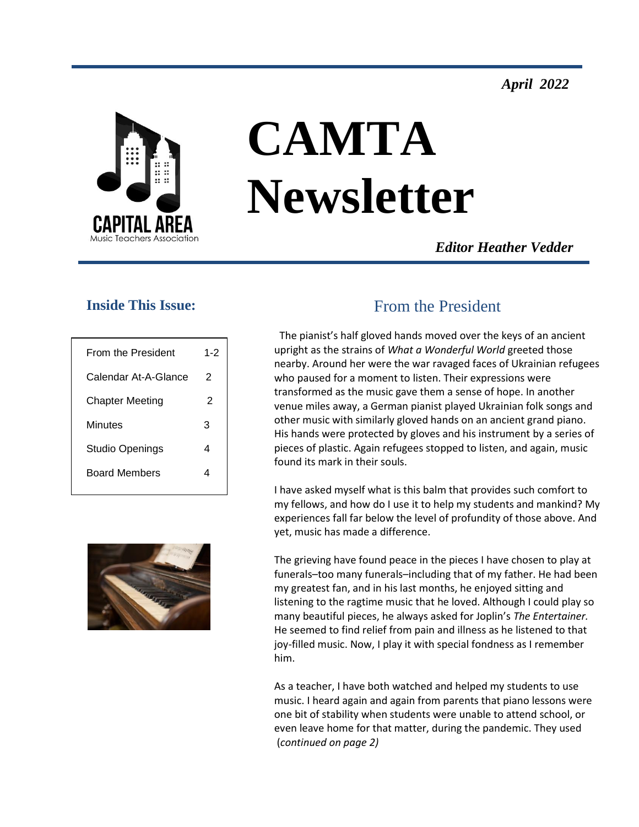*April 2022*



# **CAMTA Newsletter**

*Editor Heather Vedder*

#### **Inside This Issue:**

| From the President     | $1 - 2$ |
|------------------------|---------|
| Calendar At-A-Glance   | 2       |
| <b>Chapter Meeting</b> | 2       |
| Minutes                | 3       |
| Studio Openings        | 4       |
| <b>Board Members</b>   |         |
|                        |         |

# From the President

The pianist's half gloved hands moved over the keys of an ancient upright as the strains of *What a Wonderful World* greeted those nearby. Around her were the war ravaged faces of Ukrainian refugees who paused for a moment to listen. Their expressions were transformed as the music gave them a sense of hope. In another venue miles away, a German pianist played Ukrainian folk songs and other music with similarly gloved hands on an ancient grand piano. His hands were protected by gloves and his instrument by a series of pieces of plastic. Again refugees stopped to listen, and again, music found its mark in their souls.

I have asked myself what is this balm that provides such comfort to my fellows, and how do I use it to help my students and mankind? My experiences fall far below the level of profundity of those above. And yet, music has made a difference.

The grieving have found peace in the pieces I have chosen to play at funerals–too many funerals–including that of my father. He had been my greatest fan, and in his last months, he enjoyed sitting and listening to the ragtime music that he loved. Although I could play so many beautiful pieces, he always asked for Joplin's *The Entertainer.*  He seemed to find relief from pain and illness as he listened to that joy-filled music. Now, I play it with special fondness as I remember him.

As a teacher, I have both watched and helped my students to use music. I heard again and again from parents that piano lessons were one bit of stability when students were unable to attend school, or even leave home for that matter, during the pandemic. They used (*continued on page 2)*

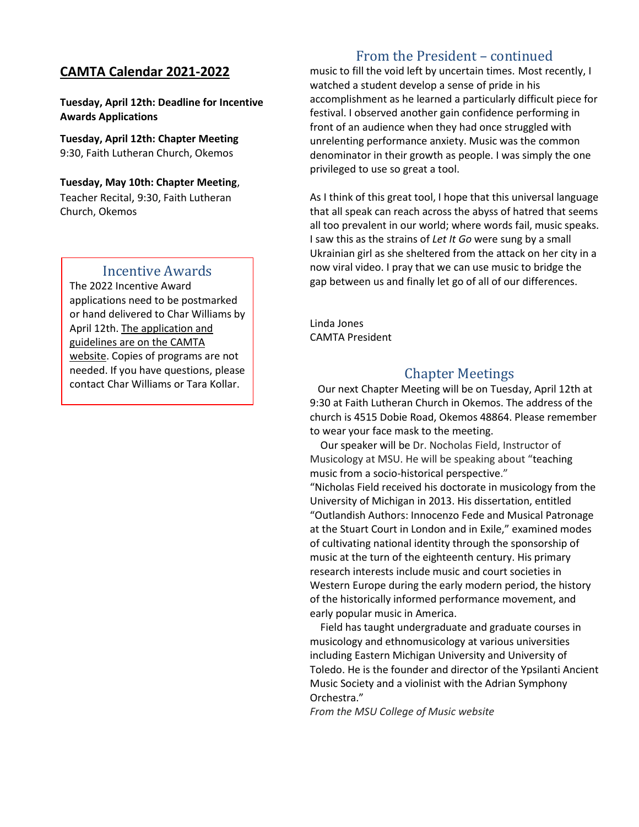## **CAMTA Calendar 2021-2022**

**Tuesday, April 12th: Deadline for Incentive Awards Applications**

**Tuesday, April 12th: Chapter Meeting** 9:30, Faith Lutheran Church, Okemos

**Tuesday, May 10th: Chapter Meeting**, Teacher Recital, 9:30, Faith Lutheran Church, Okemos

#### Incentive Awards

The 2022 Incentive Award applications need to be postmarked or hand delivered to Char Williams by April 12th. The application and guidelines are on the CAMTA website. Copies of programs are not needed. If you have questions, please contact Char Williams or Tara Kollar.

## From the President – continued

music to fill the void left by uncertain times. Most recently, I watched a student develop a sense of pride in his accomplishment as he learned a particularly difficult piece for festival. I observed another gain confidence performing in front of an audience when they had once struggled with unrelenting performance anxiety. Music was the common denominator in their growth as people. I was simply the one privileged to use so great a tool.

As I think of this great tool, I hope that this universal language that all speak can reach across the abyss of hatred that seems all too prevalent in our world; where words fail, music speaks. I saw this as the strains of *Let It Go* were sung by a small Ukrainian girl as she sheltered from the attack on her city in a now viral video. I pray that we can use music to bridge the gap between us and finally let go of all of our differences.

Linda Jones CAMTA President

#### Chapter Meetings

 Our next Chapter Meeting will be on Tuesday, April 12th at 9:30 at Faith Lutheran Church in Okemos. The address of the church is 4515 Dobie Road, Okemos 48864. Please remember to wear your face mask to the meeting.

Our speaker will be Dr. Nocholas Field, Instructor of Musicology at MSU. He will be speaking about "teaching music from a socio-historical perspective." "Nicholas Field received his doctorate in musicology from the University of Michigan in 2013. His dissertation, entitled "Outlandish Authors: Innocenzo Fede and Musical Patronage at the Stuart Court in London and in Exile," examined modes of cultivating national identity through the sponsorship of music at the turn of the eighteenth century. His primary research interests include music and court societies in Western Europe during the early modern period, the history of the historically informed performance movement, and early popular music in America.

 Field has taught undergraduate and graduate courses in musicology and ethnomusicology at various universities including Eastern Michigan University and University of Toledo. He is the founder and director of the Ypsilanti Ancient Music Society and a violinist with the Adrian Symphony Orchestra."

*From the MSU College of Music website*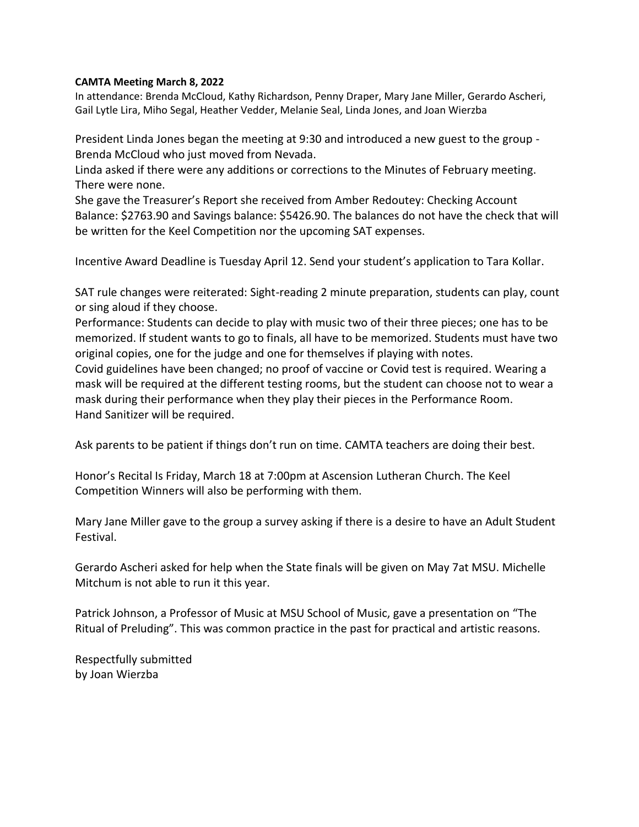#### **CAMTA Meeting March 8, 2022**

In attendance: Brenda McCloud, Kathy Richardson, Penny Draper, Mary Jane Miller, Gerardo Ascheri, Gail Lytle Lira, Miho Segal, Heather Vedder, Melanie Seal, Linda Jones, and Joan Wierzba

President Linda Jones began the meeting at 9:30 and introduced a new guest to the group - Brenda McCloud who just moved from Nevada.

Linda asked if there were any additions or corrections to the Minutes of February meeting. There were none.

She gave the Treasurer's Report she received from Amber Redoutey: Checking Account Balance: \$2763.90 and Savings balance: \$5426.90. The balances do not have the check that will be written for the Keel Competition nor the upcoming SAT expenses.

Incentive Award Deadline is Tuesday April 12. Send your student's application to Tara Kollar.

SAT rule changes were reiterated: Sight-reading 2 minute preparation, students can play, count or sing aloud if they choose.

Performance: Students can decide to play with music two of their three pieces; one has to be memorized. If student wants to go to finals, all have to be memorized. Students must have two original copies, one for the judge and one for themselves if playing with notes.

Covid guidelines have been changed; no proof of vaccine or Covid test is required. Wearing a mask will be required at the different testing rooms, but the student can choose not to wear a mask during their performance when they play their pieces in the Performance Room. Hand Sanitizer will be required.

Ask parents to be patient if things don't run on time. CAMTA teachers are doing their best.

Honor's Recital Is Friday, March 18 at 7:00pm at Ascension Lutheran Church. The Keel Competition Winners will also be performing with them.

Mary Jane Miller gave to the group a survey asking if there is a desire to have an Adult Student Festival.

Gerardo Ascheri asked for help when the State finals will be given on May 7at MSU. Michelle Mitchum is not able to run it this year.

Patrick Johnson, a Professor of Music at MSU School of Music, gave a presentation on "The Ritual of Preluding". This was common practice in the past for practical and artistic reasons.

Respectfully submitted by Joan Wierzba